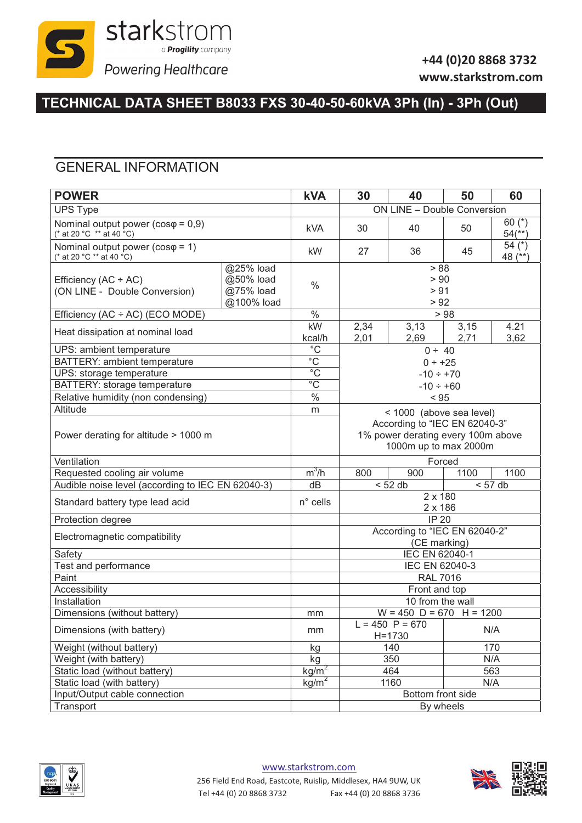

### **+44 (0)20 8868 3732 www.starkstrom.com**

## **TECHNICAL DATA SHEET B8033 FXS 30-40-50-60kVA 3Ph (In) - 3Ph (Out)**

### GENERAL INFORMATION

| <b>POWER</b>                                                                                   |            | <b>kVA</b>        | 30                                                                                           | 40                | 50           | 60                               |  |  |
|------------------------------------------------------------------------------------------------|------------|-------------------|----------------------------------------------------------------------------------------------|-------------------|--------------|----------------------------------|--|--|
| <b>UPS Type</b>                                                                                |            |                   | ON LINE - Double Conversion                                                                  |                   |              |                                  |  |  |
| Nominal output power ( $cos\varphi = 0.9$ )<br>(* at 20 °C ** at 40 °C)                        |            | <b>kVA</b>        | 30                                                                                           | 40                | 50           | 60 $(*)$<br>$54$ <sup>**</sup> ) |  |  |
| Nominal output power ( $cos\varphi = 1$ )<br>(* at 20 °C ** at 40 °C)                          |            | kW                | 27                                                                                           | 36                | 45           | 54 $(*)$<br>48 (**)              |  |  |
| @25% load<br>@50% load<br>Efficiency $(AC + AC)$<br>@75% load<br>(ON LINE - Double Conversion) |            | $\frac{0}{0}$     | > 88<br>> 90<br>> 91                                                                         |                   |              |                                  |  |  |
|                                                                                                | @100% load |                   |                                                                                              | > 92              |              |                                  |  |  |
| Efficiency (AC ÷ AC) (ECO MODE)                                                                |            | $\%$              |                                                                                              | > 98              |              |                                  |  |  |
| Heat dissipation at nominal load                                                               |            | kW<br>kcal/h      | 2,34<br>2,01                                                                                 | 3,13<br>2,69      | 3,15<br>2,71 | 4.21<br>3,62                     |  |  |
| UPS: ambient temperature                                                                       |            | $\overline{C}$    | $0 \div 40$                                                                                  |                   |              |                                  |  |  |
| BATTERY: ambient temperature                                                                   |            | $\overline{C}$    |                                                                                              | $0 ÷ +25$         |              |                                  |  |  |
| UPS: storage temperature                                                                       |            | $\overline{C}$    |                                                                                              | $-10 \div +70$    |              |                                  |  |  |
| <b>BATTERY: storage temperature</b>                                                            |            | $\overline{C}$    |                                                                                              | $-10 \div +60$    |              |                                  |  |  |
| Relative humidity (non condensing)                                                             |            | $\%$              |                                                                                              | < 95              |              |                                  |  |  |
| Altitude                                                                                       |            | m                 | < 1000 (above sea level)                                                                     |                   |              |                                  |  |  |
| Power derating for altitude > 1000 m                                                           |            |                   | According to "IEC EN 62040-3"<br>1% power derating every 100m above<br>1000m up to max 2000m |                   |              |                                  |  |  |
| Ventilation                                                                                    |            |                   |                                                                                              | Forced            |              |                                  |  |  |
| Requested cooling air volume                                                                   |            | $m^3/h$           | 900<br>1100<br>800<br>1100                                                                   |                   |              |                                  |  |  |
| Audible noise level (according to IEC EN 62040-3)                                              |            | dB                | < 52 db<br>< 57 db                                                                           |                   |              |                                  |  |  |
| Standard battery type lead acid                                                                |            | $n^{\circ}$ cells | 2 x 180<br>2 x 186                                                                           |                   |              |                                  |  |  |
| Protection degree                                                                              |            |                   | <b>IP 20</b>                                                                                 |                   |              |                                  |  |  |
| Electromagnetic compatibility                                                                  |            |                   | According to "IEC EN 62040-2"<br>(CE marking)                                                |                   |              |                                  |  |  |
| Safety                                                                                         |            |                   | IEC EN 62040-1                                                                               |                   |              |                                  |  |  |
| Test and performance                                                                           |            |                   | IEC EN 62040-3                                                                               |                   |              |                                  |  |  |
| Paint                                                                                          |            |                   | <b>RAL 7016</b>                                                                              |                   |              |                                  |  |  |
| Accessibility                                                                                  |            |                   | Front and top                                                                                |                   |              |                                  |  |  |
| Installation                                                                                   |            |                   | 10 from the wall                                                                             |                   |              |                                  |  |  |
| Dimensions (without battery)                                                                   |            | mm                | $W = 450$ D = 670 H = 1200                                                                   |                   |              |                                  |  |  |
| Dimensions (with battery)                                                                      |            | mm                | $L = 450$ P = 670<br>N/A<br>$H = 1730$                                                       |                   |              |                                  |  |  |
| Weight (without battery)                                                                       |            | kg                | 140<br>170                                                                                   |                   |              |                                  |  |  |
| Weight (with battery)                                                                          |            | kg                | N/A<br>350                                                                                   |                   |              |                                  |  |  |
| Static load (without battery)                                                                  |            | kg/m <sup>2</sup> |                                                                                              | 563<br>464        |              |                                  |  |  |
| Static load (with battery)                                                                     |            | kg/m <sup>2</sup> |                                                                                              | 1160              | N/A          |                                  |  |  |
| Input/Output cable connection                                                                  |            |                   |                                                                                              | Bottom front side |              |                                  |  |  |
| Transport                                                                                      |            |                   | By wheels                                                                                    |                   |              |                                  |  |  |



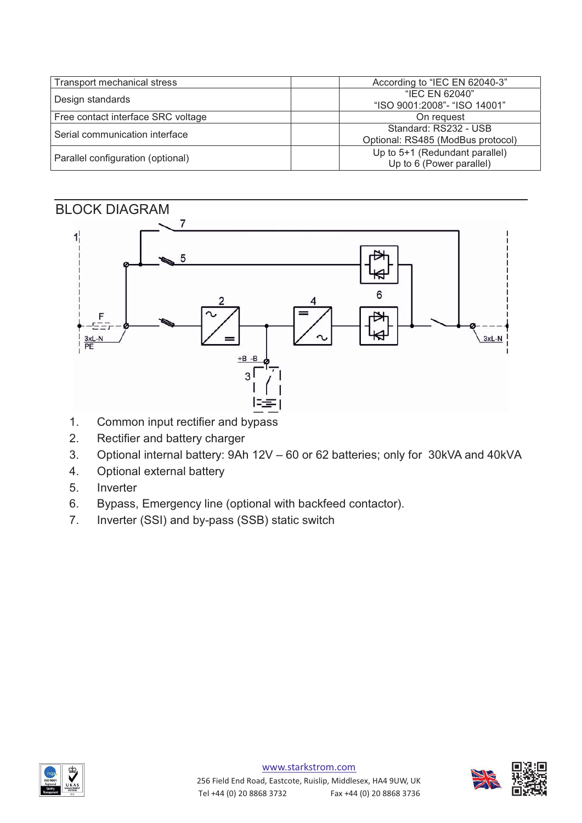| Transport mechanical stress        | According to "IEC EN 62040-3"                              |
|------------------------------------|------------------------------------------------------------|
| Design standards                   | "IEC EN 62040"<br>"ISO 9001:2008"- "ISO 14001"             |
| Free contact interface SRC voltage | On request                                                 |
| Serial communication interface     | Standard: RS232 - USB<br>Optional: RS485 (ModBus protocol) |
| Parallel configuration (optional)  | Up to 5+1 (Redundant parallel)<br>Up to 6 (Power parallel) |



- 1. Common input rectifier and bypass
- 2. Rectifier and battery charger
- 3. Optional internal battery: 9Ah 12V 60 or 62 batteries; only for 30kVA and 40kVA
- 4. Optional external battery
- 5. Inverter
- 6. Bypass, Emergency line (optional with backfeed contactor).
- 7. Inverter (SSI) and by-pass (SSB) static switch



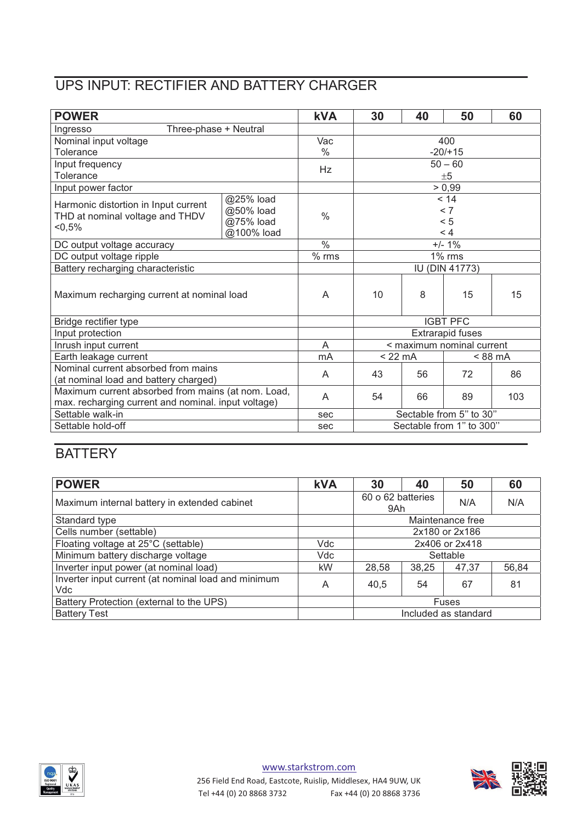# UPS INPUT: RECTIFIER AND BATTERY CHARGER

| <b>POWER</b>                                        |            | <b>kVA</b>        | 30                        | 40                      | 50                | 60  |  |
|-----------------------------------------------------|------------|-------------------|---------------------------|-------------------------|-------------------|-----|--|
| Three-phase + Neutral<br>Ingresso                   |            |                   |                           |                         |                   |     |  |
| Nominal input voltage                               |            | Vac               |                           |                         | 400               |     |  |
| Tolerance                                           |            | $\frac{0}{0}$     |                           |                         | $-20/+15$         |     |  |
| Input frequency                                     |            | Hz                | $50 - 60$                 |                         |                   |     |  |
| Tolerance                                           |            |                   | ±5                        |                         |                   |     |  |
| Input power factor                                  |            |                   |                           |                         | > 0,99            |     |  |
| Harmonic distortion in Input current                | @25% load  |                   | < 14                      |                         |                   |     |  |
| THD at nominal voltage and THDV                     | @50% load  | $\frac{0}{0}$     | < 7<br>< 5                |                         |                   |     |  |
| $< 0.5\%$                                           | @75% load  |                   |                           |                         |                   |     |  |
|                                                     | @100% load |                   |                           |                         | < 4               |     |  |
| DC output voltage accuracy                          |            | $\frac{0}{6}$     |                           |                         | $+/- 1\%$         |     |  |
| DC output voltage ripple                            |            | $\frac{1}{6}$ rms |                           |                         | $\frac{1}{6}$ rms |     |  |
| Battery recharging characteristic                   |            |                   |                           | <b>IU (DIN 41773)</b>   |                   |     |  |
| Maximum recharging current at nominal load          |            | A                 | 10                        | 8                       | 15                | 15  |  |
| Bridge rectifier type                               |            |                   |                           | <b>IGBT PFC</b>         |                   |     |  |
| Input protection                                    |            |                   |                           | <b>Extrarapid fuses</b> |                   |     |  |
| Inrush input current                                |            | A                 | < maximum nominal current |                         |                   |     |  |
| Earth leakage current                               |            | mA                | $<$ 22 mA<br>$< 88$ mA    |                         |                   |     |  |
| Nominal current absorbed from mains                 |            | A                 | 43                        | 56                      | 72                | 86  |  |
| (at nominal load and battery charged)               |            |                   |                           |                         |                   |     |  |
| Maximum current absorbed from mains (at nom. Load,  |            | A                 | 54                        | 66                      | 89                | 103 |  |
| max. recharging current and nominal. input voltage) |            |                   |                           |                         |                   |     |  |
| Settable walk-in                                    |            | sec               | Sectable from 5" to 30"   |                         |                   |     |  |
| Settable hold-off                                   |            | sec               | Sectable from 1" to 300"  |                         |                   |     |  |

## **BATTERY**

| <b>POWER</b>                                               | <b>kVA</b> | 30                       | 40 | 50  | 60    |
|------------------------------------------------------------|------------|--------------------------|----|-----|-------|
| Maximum internal battery in extended cabinet               |            | 60 o 62 batteries<br>9Ah |    | N/A | N/A   |
| Standard type                                              |            | Maintenance free         |    |     |       |
| Cells number (settable)                                    |            | 2x180 or 2x186           |    |     |       |
| Floating voltage at 25°C (settable)                        | Vdc        | 2x406 or 2x418           |    |     |       |
| Minimum battery discharge voltage                          | Vdc        | Settable                 |    |     |       |
| Inverter input power (at nominal load)                     | kW         | 28,58<br>38,25<br>47,37  |    |     | 56,84 |
| Inverter input current (at nominal load and minimum<br>Vdc | A          | 40,5                     | 54 | 67  | 81    |
| Battery Protection (external to the UPS)                   |            | <b>Fuses</b>             |    |     |       |
| <b>Battery Test</b>                                        |            | Included as standard     |    |     |       |



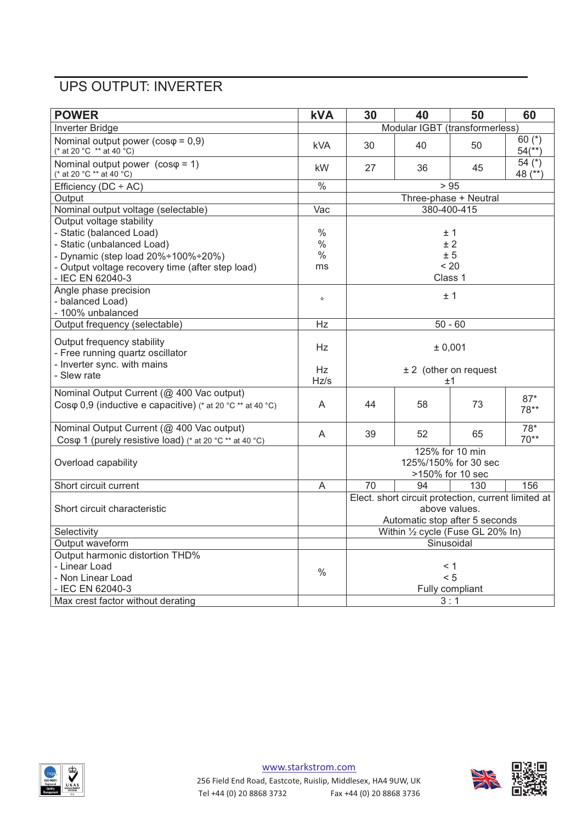## UPS OUTPUT: INVERTER

| <b>POWER</b>                                                                                                     | <b>kVA</b>               | 30                                                                                                     | 40 | 50                    | 60                               |
|------------------------------------------------------------------------------------------------------------------|--------------------------|--------------------------------------------------------------------------------------------------------|----|-----------------------|----------------------------------|
| Inverter Bridge                                                                                                  |                          | Modular IGBT (transformerless)                                                                         |    |                       |                                  |
| Nominal output power ( $cos\varphi = 0.9$ )<br>(* at 20 °C ** at 40 °C)                                          | <b>kVA</b>               | 30                                                                                                     | 40 | 50                    | 60 $(*)$<br>$54$ <sup>**</sup> ) |
| Nominal output power $(cos \varphi = 1)$<br>(* at 20 °C ** at 40 °C)                                             | kW                       | 27                                                                                                     | 36 | 45                    | 54 $(*)$<br>48 (**)              |
| Efficiency (DC ÷ AC)                                                                                             | $\overline{\frac{0}{0}}$ |                                                                                                        |    | > 95                  |                                  |
| Output                                                                                                           |                          |                                                                                                        |    | Three-phase + Neutral |                                  |
| Nominal output voltage (selectable)                                                                              | Vac                      |                                                                                                        |    | 380-400-415           |                                  |
| Output voltage stability<br>- Static (balanced Load)                                                             | $\%$                     | ±1                                                                                                     |    |                       |                                  |
| - Static (unbalanced Load)                                                                                       | $\frac{0}{0}$            |                                                                                                        |    | ± 2                   |                                  |
| - Dynamic (step load 20%÷100%÷20%)                                                                               | $\frac{0}{0}$            |                                                                                                        |    | ± 5                   |                                  |
| - Output voltage recovery time (after step load)<br>- IEC EN 62040-3                                             | ms                       |                                                                                                        |    | < 20<br>Class 1       |                                  |
| Angle phase precision<br>- balanced Load)<br>- 100% unbalanced                                                   | $\circ$                  | ±1                                                                                                     |    |                       |                                  |
| Output frequency (selectable)                                                                                    | Hz                       |                                                                                                        |    | $50 - 60$             |                                  |
| Output frequency stability<br>- Free running quartz oscillator                                                   | Hz                       | ± 0,001                                                                                                |    |                       |                                  |
| - Inverter sync. with mains<br>- Slew rate                                                                       | Hz<br>Hz/s               | $± 2$ (other on request<br>±1                                                                          |    |                       |                                  |
| Nominal Output Current (@ 400 Vac output)<br>Cos $\varphi$ 0,9 (inductive e capacitive) (* at 20 °C ** at 40 °C) | A                        | 44                                                                                                     | 58 | 73                    | $87*$<br>78**                    |
| Nominal Output Current (@ 400 Vac output)<br>Cos $\varphi$ 1 (purely resistive load) (* at 20 °C ** at 40 °C)    | A                        | 39                                                                                                     | 52 | 65                    | $78*$<br>$70**$                  |
| Overload capability                                                                                              |                          | 125% for 10 min<br>125%/150% for 30 sec<br>>150% for 10 sec                                            |    |                       |                                  |
| Short circuit current                                                                                            | A                        | 70                                                                                                     | 94 | 130                   | 156                              |
| Short circuit characteristic                                                                                     |                          | Elect. short circuit protection, current limited at<br>above values.<br>Automatic stop after 5 seconds |    |                       |                                  |
| Selectivity                                                                                                      |                          | Within 1/2 cycle (Fuse GL 20% In)                                                                      |    |                       |                                  |
| Output waveform                                                                                                  |                          | Sinusoidal                                                                                             |    |                       |                                  |
| Output harmonic distortion THD%                                                                                  |                          |                                                                                                        |    |                       |                                  |
| - Linear Load                                                                                                    | $\%$                     | < 1                                                                                                    |    |                       |                                  |
| - Non Linear Load                                                                                                |                          | < 5                                                                                                    |    |                       |                                  |
| - IEC EN 62040-3                                                                                                 |                          | Fully compliant                                                                                        |    |                       |                                  |
| Max crest factor without derating                                                                                |                          | 3:1                                                                                                    |    |                       |                                  |



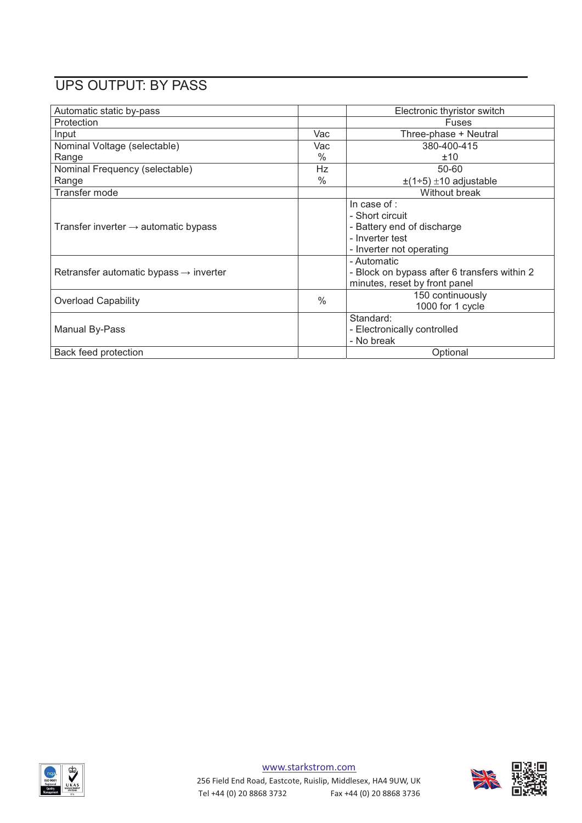# UPS OUTPUT: BY PASS

| Automatic static by-pass                           |               | Electronic thyristor switch                                                                                  |
|----------------------------------------------------|---------------|--------------------------------------------------------------------------------------------------------------|
| Protection                                         |               | <b>Fuses</b>                                                                                                 |
| Input                                              | Vac           | Three-phase + Neutral                                                                                        |
| Nominal Voltage (selectable)                       | Vac           | 380-400-415                                                                                                  |
| Range                                              | $\%$          | ±10                                                                                                          |
| Nominal Frequency (selectable)                     | Hz            | 50-60                                                                                                        |
| Range                                              | $\%$          | $\pm(1\div 5) \pm 10$ adjustable                                                                             |
| Transfer mode                                      |               | Without break                                                                                                |
| Transfer inverter $\rightarrow$ automatic bypass   |               | In case of :<br>- Short circuit<br>- Battery end of discharge<br>- Inverter test<br>- Inverter not operating |
| Retransfer automatic bypass $\rightarrow$ inverter |               | - Automatic<br>- Block on bypass after 6 transfers within 2<br>minutes, reset by front panel                 |
| <b>Overload Capability</b>                         | $\frac{0}{0}$ | 150 continuously<br>1000 for 1 cycle                                                                         |
| Manual By-Pass                                     |               | Standard:<br>- Electronically controlled<br>- No break                                                       |
| Back feed protection                               |               | Optional                                                                                                     |